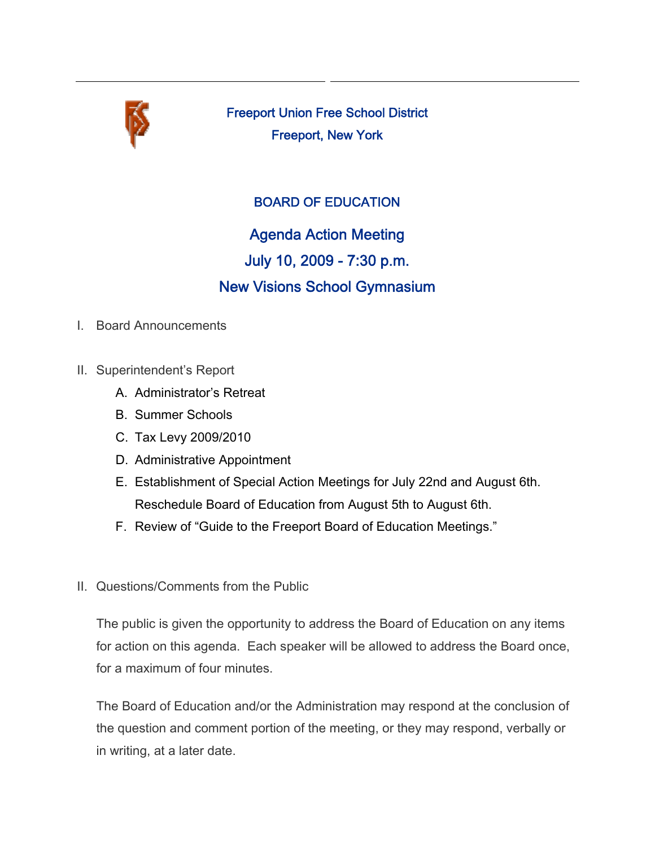

Freeport Union Free School District Freeport, New York

# BOARD OF EDUCATION

Agenda Action Meeting July 10, 2009 - 7:30 p.m. New Visions School Gymnasium

- I. Board Announcements
- II. Superintendent's Report
	- A. Administrator's Retreat
	- B. Summer Schools
	- C. Tax Levy 2009/2010
	- D. Administrative Appointment
	- E. Establishment of Special Action Meetings for July 22nd and August 6th. Reschedule Board of Education from August 5th to August 6th.
	- F. Review of "Guide to the Freeport Board of Education Meetings."
- II. Questions/Comments from the Public

The public is given the opportunity to address the Board of Education on any items for action on this agenda. Each speaker will be allowed to address the Board once, for a maximum of four minutes.

The Board of Education and/or the Administration may respond at the conclusion of the question and comment portion of the meeting, or they may respond, verbally or in writing, at a later date.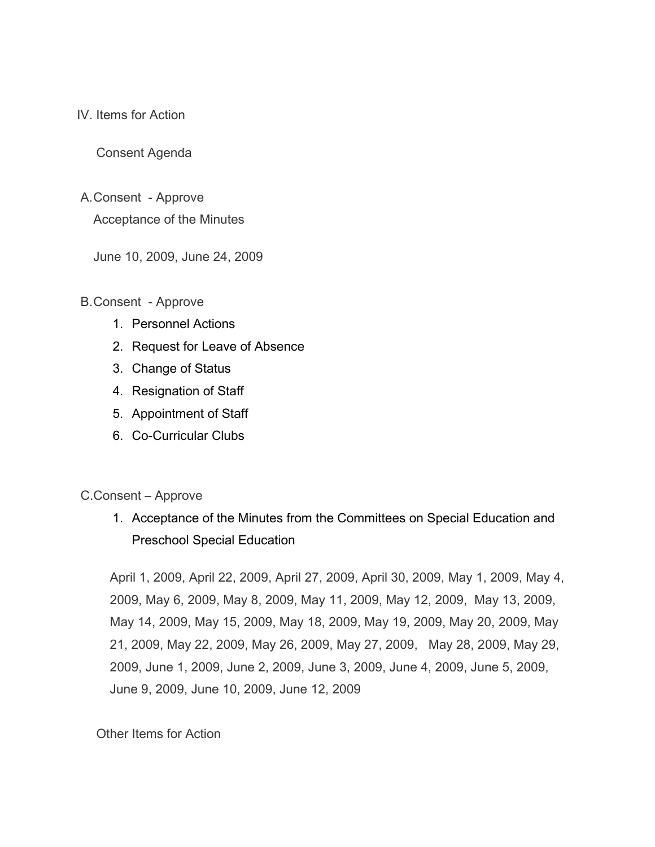IV. Items for Action

Consent Agenda

A. Consent - Approve

Acceptance of the Minutes

June 10, 2009, June 24, 2009

B. Consent - Approve

- 1. Personnel Actions
- 2. Request for Leave of Absence
- 3. Change of Status
- 4. Resignation of Staff
- 5. Appointment of Staff
- 6. Co-Curricular Clubs

#### C.Consent – Approve

 1. Acceptance of the Minutes from the Committees on Special Education and Preschool Special Education

 April 1, 2009, April 22, 2009, April 27, 2009, April 30, 2009, May 1, 2009, May 4, 2009, May 6, 2009, May 8, 2009, May 11, 2009, May 12, 2009, May 13, 2009, May 14, 2009, May 15, 2009, May 18, 2009, May 19, 2009, May 20, 2009, May 21, 2009, May 22, 2009, May 26, 2009, May 27, 2009, May 28, 2009, May 29, 2009, June 1, 2009, June 2, 2009, June 3, 2009, June 4, 2009, June 5, 2009, June 9, 2009, June 10, 2009, June 12, 2009

#### Other Items for Action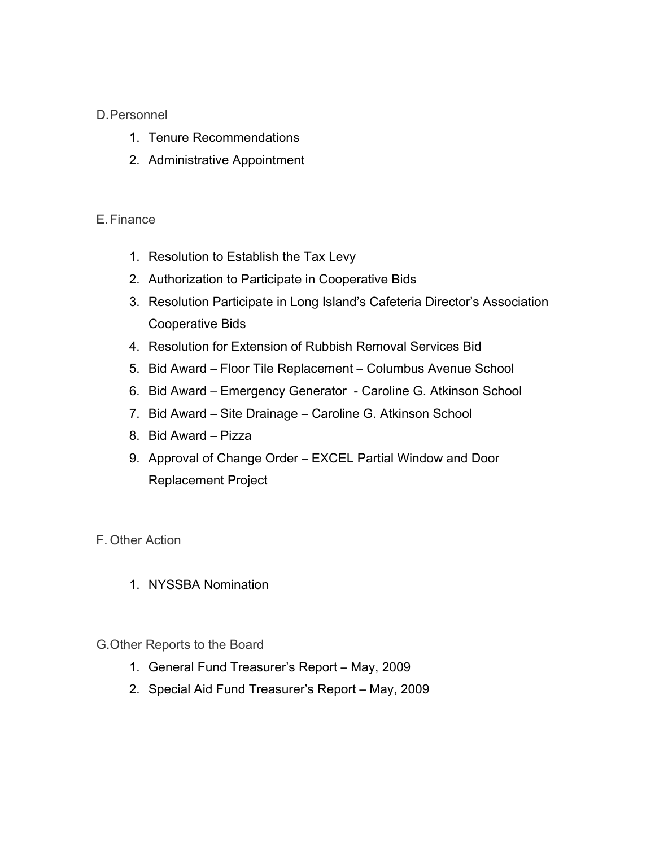### D. Personnel

- 1. Tenure Recommendations
- 2. Administrative Appointment

### E. Finance

- 1. Resolution to Establish the Tax Levy
- 2. Authorization to Participate in Cooperative Bids
- 3. Resolution Participate in Long Island's Cafeteria Director's Association Cooperative Bids
- 4. Resolution for Extension of Rubbish Removal Services Bid
- 5. Bid Award Floor Tile Replacement Columbus Avenue School
- 6. Bid Award Emergency Generator Caroline G. Atkinson School
- 7. Bid Award Site Drainage Caroline G. Atkinson School
- 8. Bid Award Pizza
- 9. Approval of Change Order EXCEL Partial Window and Door Replacement Project

## F. Other Action

1. NYSSBA Nomination

### G. Other Reports to the Board

- 1. General Fund Treasurer's Report May, 2009
- 2. Special Aid Fund Treasurer's Report May, 2009